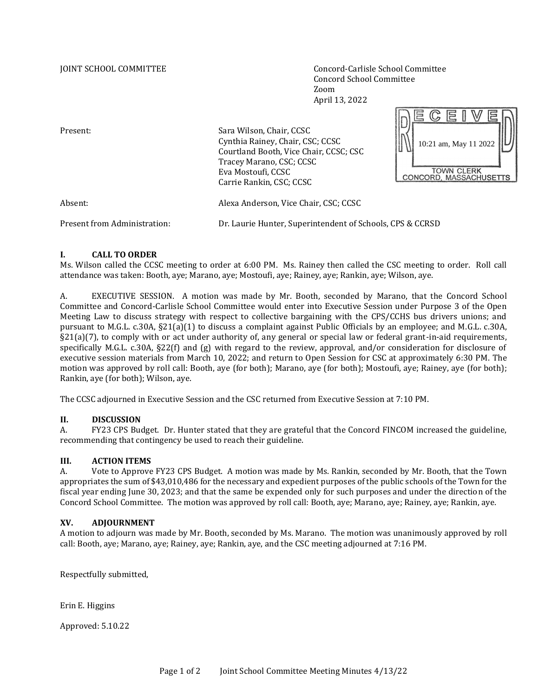JOINT SCHOOL COMMITTEE Concord-Carlisle School Committee Concord School Committee Zoom April 13, 2022

 $\sqrt{2}$ 

| Present:                     | Sara Wilson, Chair, CCSC<br>Cynthia Rainey, Chair, CSC; CCSC<br>Courtland Booth, Vice Chair, CCSC; CSC<br>Tracey Marano, CSC; CCSC<br>Eva Mostoufi, CCSC<br>Carrie Rankin, CSC; CCSC | 10:21 am, May 11 2022<br>TOWN CLERK<br>CONCORD, MASSACHUSETTS |
|------------------------------|--------------------------------------------------------------------------------------------------------------------------------------------------------------------------------------|---------------------------------------------------------------|
| Absent:                      | Alexa Anderson, Vice Chair, CSC; CCSC                                                                                                                                                |                                                               |
| Present from Administration: | Dr. Laurie Hunter, Superintendent of Schools, CPS & CCRSD                                                                                                                            |                                                               |

# **I. CALL TO ORDER**

Ms. Wilson called the CCSC meeting to order at 6:00 PM. Ms. Rainey then called the CSC meeting to order. Roll call attendance was taken: Booth, aye; Marano, aye; Mostoufi, aye; Rainey, aye; Rankin, aye; Wilson, aye.

A. EXECUTIVE SESSION. A motion was made by Mr. Booth, seconded by Marano, that the Concord School Committee and Concord-Carlisle School Committee would enter into Executive Session under Purpose 3 of the Open Meeting Law to discuss strategy with respect to collective bargaining with the CPS/CCHS bus drivers unions; and pursuant to M.G.L. c.30A, §21(a)(1) to discuss a complaint against Public Officials by an employee; and M.G.L. c.30A, §21(a)(7), to comply with or act under authority of, any general or special law or federal grant-in-aid requirements, specifically M.G.L. c.30A, §22(f) and (g) with regard to the review, approval, and/or consideration for disclosure of executive session materials from March 10, 2022; and return to Open Session for CSC at approximately 6:30 PM. The motion was approved by roll call: Booth, aye (for both); Marano, aye (for both); Mostoufi, aye; Rainey, aye (for both); Rankin, aye (for both); Wilson, aye.

The CCSC adjourned in Executive Session and the CSC returned from Executive Session at 7:10 PM.

# **II. DISCUSSION**

A. FY23 CPS Budget. Dr. Hunter stated that they are grateful that the Concord FINCOM increased the guideline, recommending that contingency be used to reach their guideline.

# **III. ACTION ITEMS**

A. Vote to Approve FY23 CPS Budget. A motion was made by Ms. Rankin, seconded by Mr. Booth, that the Town appropriates the sum of \$43,010,486 for the necessary and expedient purposes of the public schools of the Town for the fiscal year ending June 30, 2023; and that the same be expended only for such purposes and under the direction of the Concord School Committee. The motion was approved by roll call: Booth, aye; Marano, aye; Rainey, aye; Rankin, aye.

# **XV. ADJOURNMENT**

A motion to adjourn was made by Mr. Booth, seconded by Ms. Marano. The motion was unanimously approved by roll call: Booth, aye; Marano, aye; Rainey, aye; Rankin, aye, and the CSC meeting adjourned at 7:16 PM.

Respectfully submitted,

Erin E. Higgins

Approved: 5.10.22